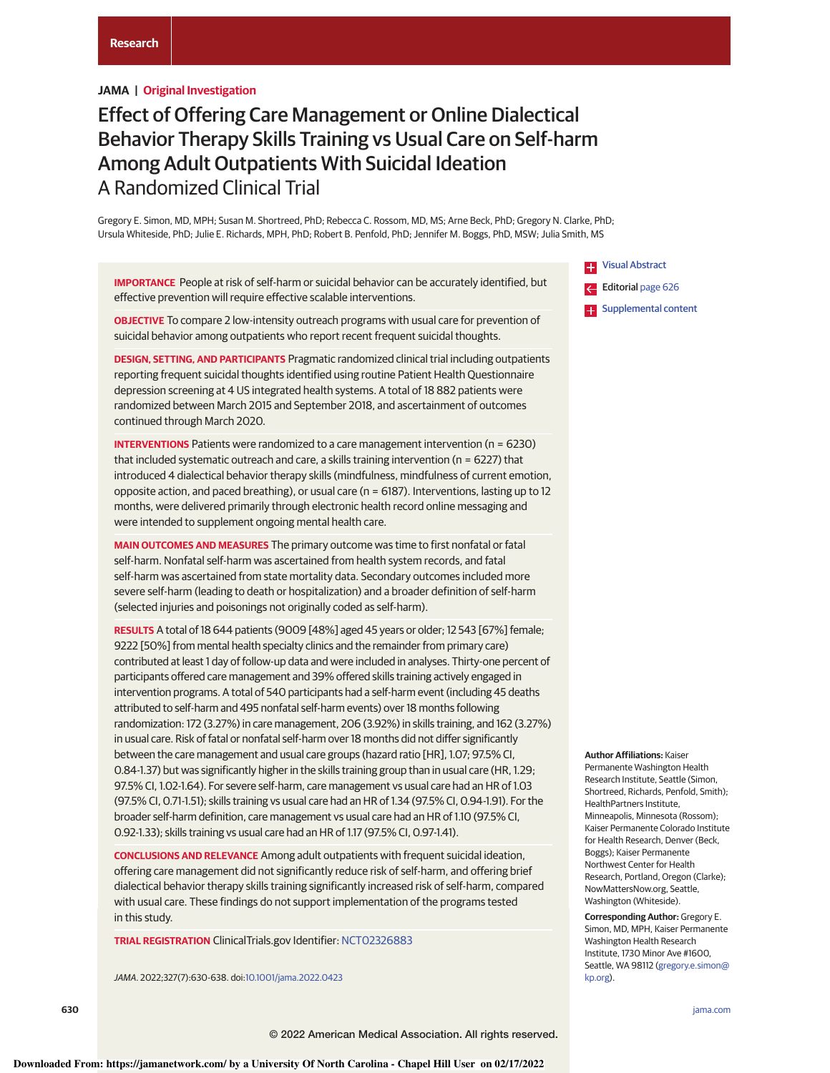# **JAMA | Original Investigation**

# Effect of Offering Care Management or Online Dialectical Behavior Therapy Skills Training vs Usual Care on Self-harm Among Adult Outpatients With Suicidal Ideation A Randomized Clinical Trial

Gregory E. Simon, MD, MPH; Susan M. Shortreed, PhD; Rebecca C. Rossom, MD, MS; Arne Beck, PhD; Gregory N. Clarke, PhD; Ursula Whiteside, PhD; Julie E. Richards, MPH, PhD; Robert B. Penfold, PhD; Jennifer M. Boggs, PhD, MSW; Julia Smith, MS

**IMPORTANCE** People at risk of self-harm or suicidal behavior can be accurately identified, but effective prevention will require effective scalable interventions.

**OBJECTIVE** To compare 2 low-intensity outreach programs with usual care for prevention of suicidal behavior among outpatients who report recent frequent suicidal thoughts.

**DESIGN, SETTING, AND PARTICIPANTS** Pragmatic randomized clinical trial including outpatients reporting frequent suicidal thoughts identified using routine Patient Health Questionnaire depression screening at 4 US integrated health systems. A total of 18 882 patients were randomized between March 2015 and September 2018, and ascertainment of outcomes continued through March 2020.

**INTERVENTIONS** Patients were randomized to a care management intervention (n = 6230) that included systematic outreach and care, a skills training intervention (n = 6227) that introduced 4 dialectical behavior therapy skills (mindfulness, mindfulness of current emotion, opposite action, and paced breathing), or usual care (n = 6187). Interventions, lasting up to 12 months, were delivered primarily through electronic health record online messaging and were intended to supplement ongoing mental health care.

**MAIN OUTCOMES AND MEASURES** The primary outcome was time to first nonfatal or fatal self-harm. Nonfatal self-harm was ascertained from health system records, and fatal self-harm was ascertained from state mortality data. Secondary outcomes included more severe self-harm (leading to death or hospitalization) and a broader definition of self-harm (selected injuries and poisonings not originally coded as self-harm).

**RESULTS** A total of 18 644 patients (9009 [48%] aged 45 years or older; 12 543 [67%] female; 9222 [50%] from mental health specialty clinics and the remainder from primary care) contributed at least 1 day of follow-up data and were included in analyses. Thirty-one percent of participants offered care management and 39% offered skills training actively engaged in intervention programs. A total of 540 participants had a self-harm event (including 45 deaths attributed to self-harm and 495 nonfatal self-harm events) over 18 months following randomization: 172 (3.27%) in care management, 206 (3.92%) in skills training, and 162 (3.27%) in usual care. Risk of fatal or nonfatal self-harm over 18 months did not differ significantly between the care management and usual care groups (hazard ratio [HR], 1.07; 97.5% CI, 0.84-1.37) but was significantly higher in the skills training group than in usual care (HR, 1.29; 97.5% CI, 1.02-1.64). For severe self-harm, care management vs usual care had an HR of 1.03 (97.5% CI, 0.71-1.51); skills training vs usual care had an HR of 1.34 (97.5% CI, 0.94-1.91). For the broader self-harm definition, care management vs usual care had an HR of 1.10 (97.5% CI, 0.92-1.33); skills training vs usual care had an HR of 1.17 (97.5% CI, 0.97-1.41).

**CONCLUSIONS AND RELEVANCE** Among adult outpatients with frequent suicidal ideation, offering care management did not significantly reduce risk of self-harm, and offering brief dialectical behavior therapy skills training significantly increased risk of self-harm, compared with usual care. These findings do not support implementation of the programs tested in this study.

**TRIAL REGISTRATION** ClinicalTrials.gov Identifier: NCT02326883

JAMA. 2022;327(7):630-638. doi:10.1001/jama.2022.0423

**Example 3** Visual Abstract Editorial page 626 **E.** Supplemental content

Permanente Washington Health Research Institute, Seattle (Simon, Shortreed, Richards, Penfold, Smith); HealthPartners Institute, Minneapolis, Minnesota (Rossom);

**Author Affiliations:** Kaiser

Kaiser Permanente Colorado Institute for Health Research, Denver (Beck, Boggs); Kaiser Permanente Northwest Center for Health Research, Portland, Oregon (Clarke); NowMattersNow.org, Seattle, Washington (Whiteside).

**Corresponding Author:** Gregory E. Simon, MD, MPH, Kaiser Permanente Washington Health Research Institute, 1730 Minor Ave #1600, Seattle, WA 98112 (gregory.e.simon@ kp.org).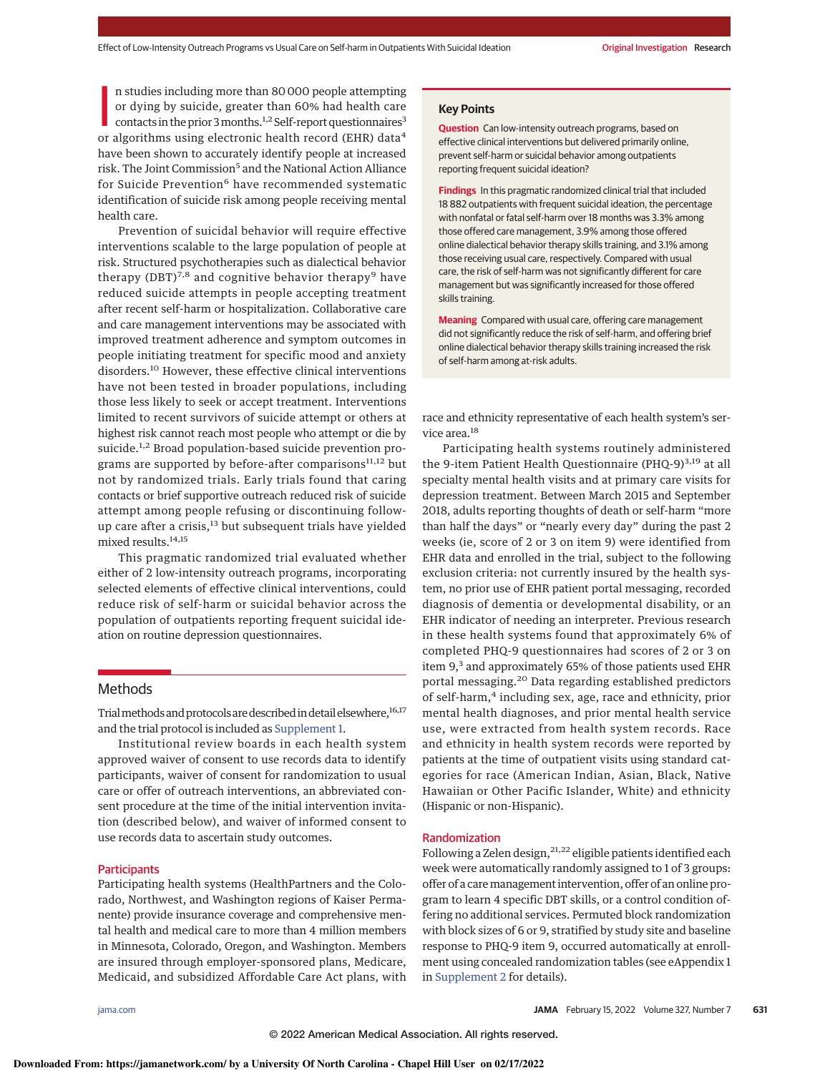n studies including more than 80 000 people attempting<br>or dying by suicide, greater than 60% had health care<br>contacts in the prior 3 months.<sup>1,2</sup> Self-report questionnaires<sup>3</sup><br>or algorithms using electronic health record ( n studies including more than 80 000 people attempting or dying by suicide, greater than 60% had health care contacts in the prior 3 months.<sup>1,2</sup> Self-report questionnaires<sup>3</sup> have been shown to accurately identify people at increased risk. The Joint Commission<sup>5</sup> and the National Action Alliance for Suicide Prevention<sup>6</sup> have recommended systematic identification of suicide risk among people receiving mental health care.

Prevention of suicidal behavior will require effective interventions scalable to the large population of people at risk. Structured psychotherapies such as dialectical behavior therapy (DBT)<sup>7,8</sup> and cognitive behavior therapy<sup>9</sup> have reduced suicide attempts in people accepting treatment after recent self-harm or hospitalization. Collaborative care and care management interventions may be associated with improved treatment adherence and symptom outcomes in people initiating treatment for specific mood and anxiety disorders.<sup>10</sup> However, these effective clinical interventions have not been tested in broader populations, including those less likely to seek or accept treatment. Interventions limited to recent survivors of suicide attempt or others at highest risk cannot reach most people who attempt or die by suicide.<sup>1,2</sup> Broad population-based suicide prevention programs are supported by before-after comparisons $11,12$  but not by randomized trials. Early trials found that caring contacts or brief supportive outreach reduced risk of suicide attempt among people refusing or discontinuing followup care after a crisis,<sup>13</sup> but subsequent trials have yielded mixed results.<sup>14,15</sup>

This pragmatic randomized trial evaluated whether either of 2 low-intensity outreach programs, incorporating selected elements of effective clinical interventions, could reduce risk of self-harm or suicidal behavior across the population of outpatients reporting frequent suicidal ideation on routine depression questionnaires.

# Methods

Trial methods and protocols are described in detail elsewhere, 16,17 and the trial protocol is included as Supplement 1.

Institutional review boards in each health system approved waiver of consent to use records data to identify participants, waiver of consent for randomization to usual care or offer of outreach interventions, an abbreviated consent procedure at the time of the initial intervention invitation (described below), and waiver of informed consent to use records data to ascertain study outcomes.

## **Participants**

Participating health systems (HealthPartners and the Colorado, Northwest, and Washington regions of Kaiser Permanente) provide insurance coverage and comprehensive mental health and medical care to more than 4 million members in Minnesota, Colorado, Oregon, and Washington. Members are insured through employer-sponsored plans, Medicare, Medicaid, and subsidized Affordable Care Act plans, with

# **Key Points**

**Question** Can low-intensity outreach programs, based on effective clinical interventions but delivered primarily online, prevent self-harm or suicidal behavior among outpatients reporting frequent suicidal ideation?

**Findings** In this pragmatic randomized clinical trial that included 18 882 outpatients with frequent suicidal ideation, the percentage with nonfatal or fatal self-harm over 18 months was 3.3% among those offered care management, 3.9% among those offered online dialectical behavior therapy skills training, and 3.1% among those receiving usual care, respectively. Compared with usual care, the risk of self-harm was not significantly different for care management but was significantly increased for those offered skills training.

**Meaning** Compared with usual care, offering care management did not significantly reduce the risk of self-harm, and offering brief online dialectical behavior therapy skills training increased the risk of self-harm among at-risk adults.

race and ethnicity representative of each health system's service area.<sup>18</sup>

Participating health systems routinely administered the 9-item Patient Health Questionnaire (PHQ-9) $^{3,19}$  at all specialty mental health visits and at primary care visits for depression treatment. Between March 2015 and September 2018, adults reporting thoughts of death or self-harm "more than half the days" or "nearly every day" during the past 2 weeks (ie, score of 2 or 3 on item 9) were identified from EHR data and enrolled in the trial, subject to the following exclusion criteria: not currently insured by the health system, no prior use of EHR patient portal messaging, recorded diagnosis of dementia or developmental disability, or an EHR indicator of needing an interpreter. Previous research in these health systems found that approximately 6% of completed PHQ-9 questionnaires had scores of 2 or 3 on item 9,<sup>3</sup> and approximately 65% of those patients used EHR portal messaging.<sup>20</sup> Data regarding established predictors of self-harm,<sup>4</sup> including sex, age, race and ethnicity, prior mental health diagnoses, and prior mental health service use, were extracted from health system records. Race and ethnicity in health system records were reported by patients at the time of outpatient visits using standard categories for race (American Indian, Asian, Black, Native Hawaiian or Other Pacific Islander, White) and ethnicity (Hispanic or non-Hispanic).

#### Randomization

Following a Zelen design,  $21,22$  eligible patients identified each week were automatically randomly assigned to 1 of 3 groups: offer of a care management intervention, offer of an online program to learn 4 specific DBT skills, or a control condition offering no additional services. Permuted block randomization with block sizes of 6 or 9, stratified by study site and baseline response to PHQ-9 item 9, occurred automatically at enrollment using concealed randomization tables (see eAppendix 1 in Supplement 2 for details).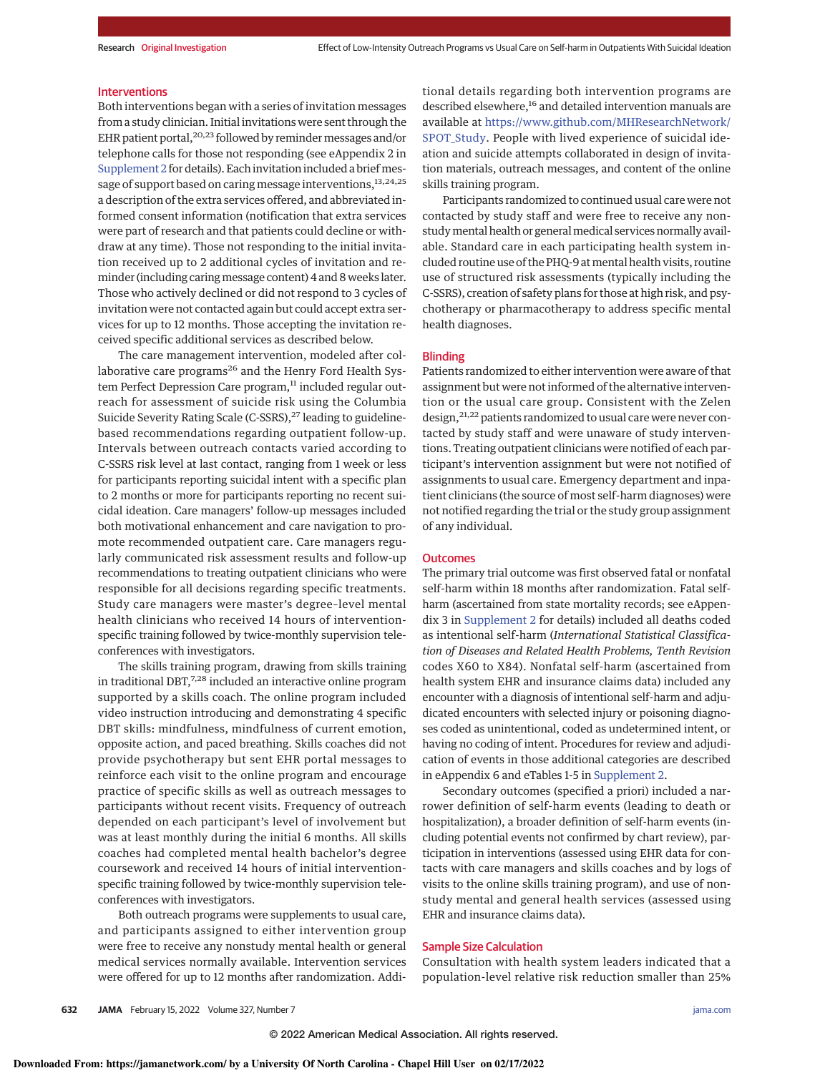#### Interventions

Both interventions began with a series of invitation messages from a study clinician. Initial invitations were sent through the EHR patient portal,<sup>20,23</sup> followed by reminder messages and/or telephone calls for those not responding (see eAppendix 2 in Supplement 2 for details). Each invitation included a briefmessage of support based on caring message interventions, 13,24,25 a description of the extra services offered, and abbreviated informed consent information (notification that extra services were part of research and that patients could decline or withdraw at any time). Those not responding to the initial invitation received up to 2 additional cycles of invitation and reminder (including caringmessage content) 4 and 8 weeks later. Those who actively declined or did not respond to 3 cycles of invitation were not contacted again but could accept extra services for up to 12 months. Those accepting the invitation received specific additional services as described below.

The care management intervention, modeled after collaborative care programs<sup>26</sup> and the Henry Ford Health System Perfect Depression Care program,<sup>11</sup> included regular outreach for assessment of suicide risk using the Columbia Suicide Severity Rating Scale (C-SSRS),<sup>27</sup> leading to guidelinebased recommendations regarding outpatient follow-up. Intervals between outreach contacts varied according to C-SSRS risk level at last contact, ranging from 1 week or less for participants reporting suicidal intent with a specific plan to 2 months or more for participants reporting no recent suicidal ideation. Care managers' follow-up messages included both motivational enhancement and care navigation to promote recommended outpatient care. Care managers regularly communicated risk assessment results and follow-up recommendations to treating outpatient clinicians who were responsible for all decisions regarding specific treatments. Study care managers were master's degree–level mental health clinicians who received 14 hours of interventionspecific training followed by twice-monthly supervision teleconferences with investigators.

The skills training program, drawing from skills training in traditional DBT,  $^{7,28}$  included an interactive online program supported by a skills coach. The online program included video instruction introducing and demonstrating 4 specific DBT skills: mindfulness, mindfulness of current emotion, opposite action, and paced breathing. Skills coaches did not provide psychotherapy but sent EHR portal messages to reinforce each visit to the online program and encourage practice of specific skills as well as outreach messages to participants without recent visits. Frequency of outreach depended on each participant's level of involvement but was at least monthly during the initial 6 months. All skills coaches had completed mental health bachelor's degree coursework and received 14 hours of initial interventionspecific training followed by twice-monthly supervision teleconferences with investigators.

Both outreach programs were supplements to usual care, and participants assigned to either intervention group were free to receive any nonstudy mental health or general medical services normally available. Intervention services were offered for up to 12 months after randomization. Additional details regarding both intervention programs are described elsewhere,<sup>16</sup> and detailed intervention manuals are available at https://www.github.com/MHResearchNetwork/ SPOT\_Study. People with lived experience of suicidal ideation and suicide attempts collaborated in design of invitation materials, outreach messages, and content of the online skills training program.

Participants randomized to continued usual care were not contacted by study staff and were free to receive any nonstudy mental health or general medical services normally available. Standard care in each participating health system included routine use of the PHQ-9 at mental health visits, routine use of structured risk assessments (typically including the C-SSRS), creation of safety plans for those at high risk, and psychotherapy or pharmacotherapy to address specific mental health diagnoses.

## Blinding

Patients randomized to either intervention were aware of that assignment but were not informed of the alternative intervention or the usual care group. Consistent with the Zelen design, <sup>21,22</sup> patients randomized to usual care were never contacted by study staff and were unaware of study interventions. Treating outpatient clinicians were notified of each participant's intervention assignment but were not notified of assignments to usual care. Emergency department and inpatient clinicians (the source of most self-harm diagnoses) were not notified regarding the trial or the study group assignment of any individual.

## **Outcomes**

The primary trial outcome was first observed fatal or nonfatal self-harm within 18 months after randomization. Fatal selfharm (ascertained from state mortality records; see eAppendix 3 in Supplement 2 for details) included all deaths coded as intentional self-harm (International Statistical Classification of Diseases and Related Health Problems, Tenth Revision codes X60 to X84). Nonfatal self-harm (ascertained from health system EHR and insurance claims data) included any encounter with a diagnosis of intentional self-harm and adjudicated encounters with selected injury or poisoning diagnoses coded as unintentional, coded as undetermined intent, or having no coding of intent. Procedures for review and adjudication of events in those additional categories are described in eAppendix 6 and eTables 1-5 in Supplement 2.

Secondary outcomes (specified a priori) included a narrower definition of self-harm events (leading to death or hospitalization), a broader definition of self-harm events (including potential events not confirmed by chart review), participation in interventions (assessed using EHR data for contacts with care managers and skills coaches and by logs of visits to the online skills training program), and use of nonstudy mental and general health services (assessed using EHR and insurance claims data).

## Sample Size Calculation

Consultation with health system leaders indicated that a population-level relative risk reduction smaller than 25%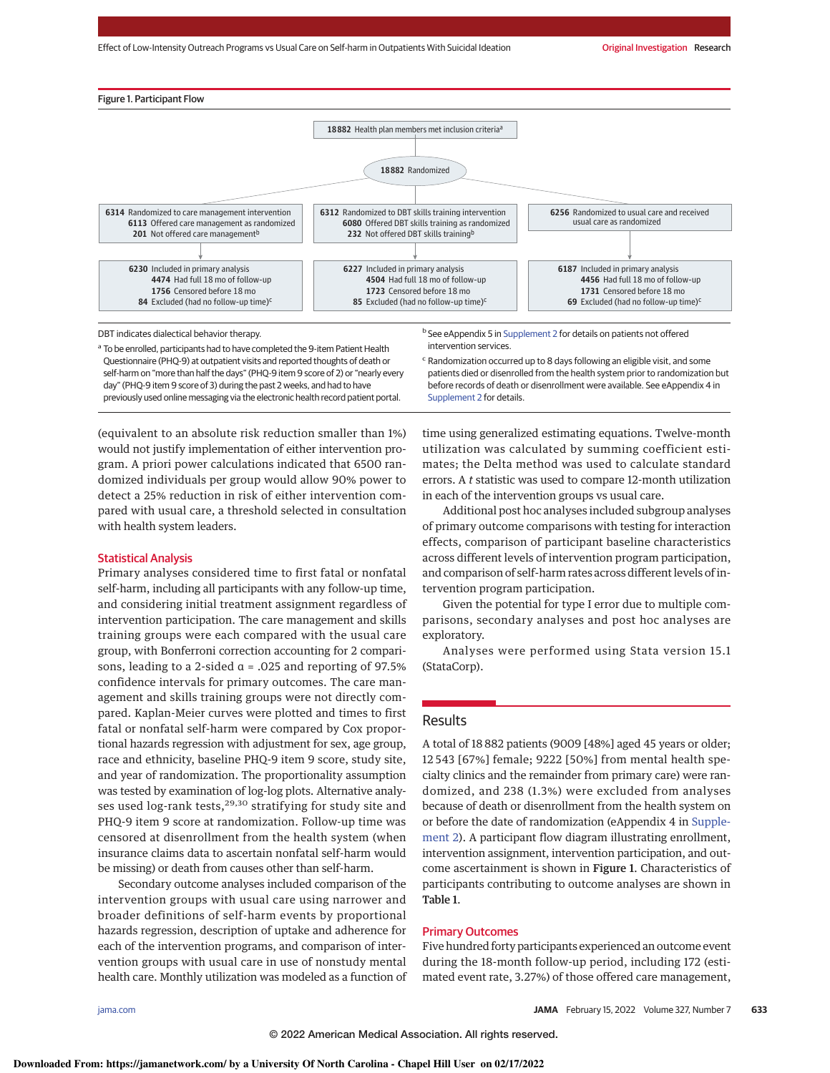

Questionnaire (PHQ-9) at outpatient visits and reported thoughts of death or self-harm on "more than half the days" (PHQ-9 item 9 score of 2) or "nearly every day" (PHQ-9 item 9 score of 3) during the past 2 weeks, and had to have previously used online messaging via the electronic health record patient portal.

<sup>c</sup> Randomization occurred up to 8 days following an eligible visit, and some patients died or disenrolled from the health system prior to randomization but before records of death or disenrollment were available. See eAppendix 4 in Supplement 2 for details.

(equivalent to an absolute risk reduction smaller than 1%) would not justify implementation of either intervention program. A priori power calculations indicated that 6500 randomized individuals per group would allow 90% power to detect a 25% reduction in risk of either intervention compared with usual care, a threshold selected in consultation with health system leaders.

## Statistical Analysis

Primary analyses considered time to first fatal or nonfatal self-harm, including all participants with any follow-up time, and considering initial treatment assignment regardless of intervention participation. The care management and skills training groups were each compared with the usual care group, with Bonferroni correction accounting for 2 comparisons, leading to a 2-sided α = .025 and reporting of 97.5% confidence intervals for primary outcomes. The care management and skills training groups were not directly compared. Kaplan-Meier curves were plotted and times to first fatal or nonfatal self-harm were compared by Cox proportional hazards regression with adjustment for sex, age group, race and ethnicity, baseline PHQ-9 item 9 score, study site, and year of randomization. The proportionality assumption was tested by examination of log-log plots. Alternative analyses used log-rank tests,<sup>29,30</sup> stratifying for study site and PHQ-9 item 9 score at randomization. Follow-up time was censored at disenrollment from the health system (when insurance claims data to ascertain nonfatal self-harm would be missing) or death from causes other than self-harm.

Secondary outcome analyses included comparison of the intervention groups with usual care using narrower and broader definitions of self-harm events by proportional hazards regression, description of uptake and adherence for each of the intervention programs, and comparison of intervention groups with usual care in use of nonstudy mental health care. Monthly utilization was modeled as a function of time using generalized estimating equations. Twelve-month utilization was calculated by summing coefficient estimates; the Delta method was used to calculate standard errors. A t statistic was used to compare 12-month utilization in each of the intervention groups vs usual care.

Additional post hoc analyses included subgroup analyses of primary outcome comparisons with testing for interaction effects, comparison of participant baseline characteristics across different levels of intervention program participation, and comparison of self-harm rates across different levels of intervention program participation.

Given the potential for type I error due to multiple comparisons, secondary analyses and post hoc analyses are exploratory.

Analyses were performed using Stata version 15.1 (StataCorp).

## Results

A total of 18 882 patients (9009 [48%] aged 45 years or older; 12 543 [67%] female; 9222 [50%] from mental health specialty clinics and the remainder from primary care) were randomized, and 238 (1.3%) were excluded from analyses because of death or disenrollment from the health system on or before the date of randomization (eAppendix 4 in Supplement 2). A participant flow diagram illustrating enrollment, intervention assignment, intervention participation, and outcome ascertainment is shown in Figure 1. Characteristics of participants contributing to outcome analyses are shown in Table 1.

# Primary Outcomes

Five hundred forty participants experienced an outcome event during the 18-month follow-up period, including 172 (estimated event rate, 3.27%) of those offered care management,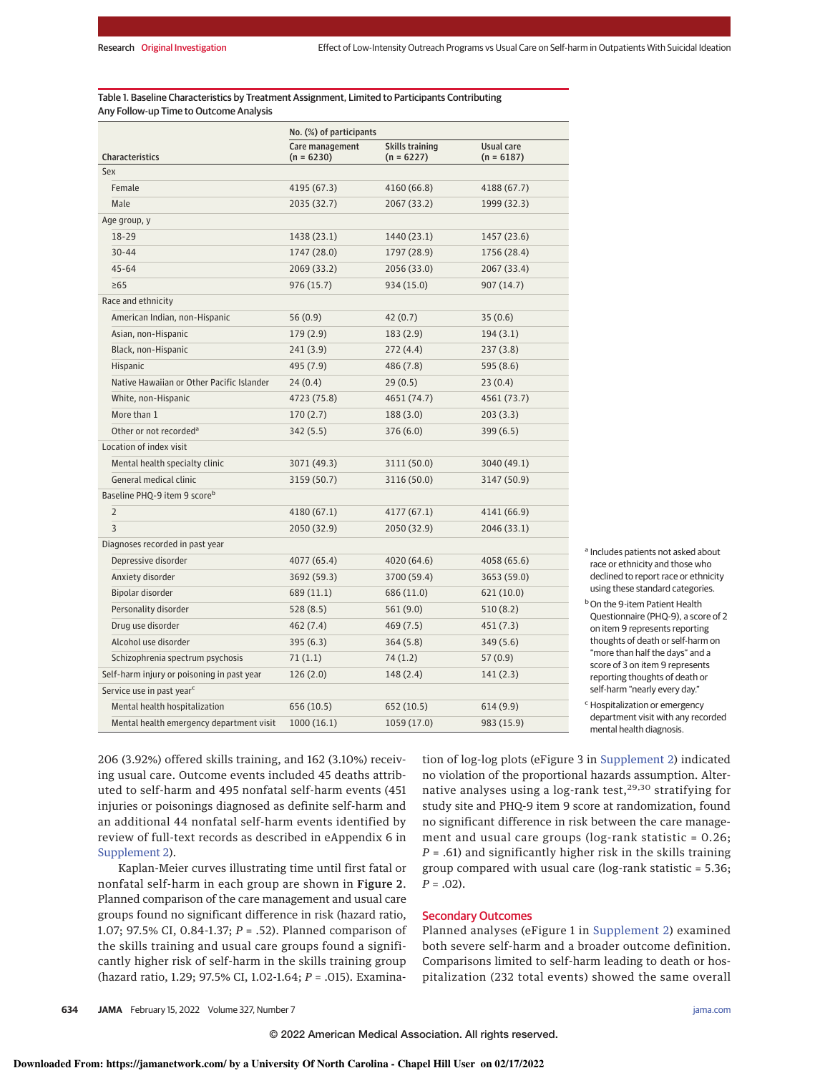Table 1. Baseline Characteristics by Treatment Assignment, Limited to Participants Contributing Any Follow-up Time to Outcome Analysis

| No. (%) of participants                    |                                 |                                 |                            |
|--------------------------------------------|---------------------------------|---------------------------------|----------------------------|
| Characteristics                            | Care management<br>$(n = 6230)$ | Skills training<br>$(n = 6227)$ | Usual care<br>$(n = 6187)$ |
| Sex                                        |                                 |                                 |                            |
| Female                                     | 4195 (67.3)                     | 4160 (66.8)                     | 4188 (67.7)                |
| Male                                       | 2035 (32.7)                     | 2067 (33.2)                     | 1999 (32.3)                |
| Age group, y                               |                                 |                                 |                            |
| 18-29                                      | 1438 (23.1)                     | 1440 (23.1)                     | 1457 (23.6)                |
| $30 - 44$                                  | 1747 (28.0)                     | 1797 (28.9)                     | 1756 (28.4)                |
| $45 - 64$                                  | 2069 (33.2)                     | 2056 (33.0)                     | 2067 (33.4)                |
| $\geq 65$                                  | 976 (15.7)                      | 934 (15.0)                      | 907 (14.7)                 |
| Race and ethnicity                         |                                 |                                 |                            |
| American Indian, non-Hispanic              | 56(0.9)                         | 42(0.7)                         | 35(0.6)                    |
| Asian, non-Hispanic                        | 179(2.9)                        | 183(2.9)                        | 194(3.1)                   |
| Black, non-Hispanic                        | 241 (3.9)                       | 272 (4.4)                       | 237(3.8)                   |
| Hispanic                                   | 495 (7.9)                       | 486 (7.8)                       | 595 (8.6)                  |
| Native Hawaiian or Other Pacific Islander  | 24(0.4)                         | 29(0.5)                         | 23(0.4)                    |
| White, non-Hispanic                        | 4723 (75.8)                     | 4651 (74.7)                     | 4561 (73.7)                |
| More than 1                                | 170(2.7)                        | 188 (3.0)                       | 203(3.3)                   |
| Other or not recorded <sup>a</sup>         | 342 (5.5)                       | 376 (6.0)                       | 399(6.5)                   |
| Location of index visit                    |                                 |                                 |                            |
| Mental health specialty clinic             | 3071 (49.3)                     | 3111 (50.0)                     | 3040 (49.1)                |
| General medical clinic                     | 3159 (50.7)                     | 3116 (50.0)                     | 3147 (50.9)                |
| Baseline PHQ-9 item 9 score <sup>b</sup>   |                                 |                                 |                            |
| $\overline{2}$                             | 4180 (67.1)                     | 4177 (67.1)                     | 4141 (66.9)                |
| 3                                          | 2050 (32.9)                     | 2050 (32.9)                     | 2046 (33.1)                |
| Diagnoses recorded in past year            |                                 |                                 |                            |
| Depressive disorder                        | 4077 (65.4)                     | 4020 (64.6)                     | 4058 (65.6)                |
| Anxiety disorder                           | 3692 (59.3)                     | 3700 (59.4)                     | 3653 (59.0)                |
| Bipolar disorder                           | 689 (11.1)                      | 686 (11.0)                      | 621 (10.0)                 |
| Personality disorder                       | 528(8.5)                        | 561 (9.0)                       | 510(8.2)                   |
| Drug use disorder                          | 462 (7.4)                       | 469 (7.5)                       | 451 (7.3)                  |
| Alcohol use disorder                       | 395(6.3)                        | 364 (5.8)                       | 349 (5.6)                  |
| Schizophrenia spectrum psychosis           | 71(1.1)                         | 74 (1.2)                        | 57 (0.9)                   |
| Self-harm injury or poisoning in past year | 126(2.0)                        | 148 (2.4)                       | 141(2.3)                   |
| Service use in past year <sup>c</sup>      |                                 |                                 |                            |
| Mental health hospitalization              | 656 (10.5)                      | 652 (10.5)                      | 614(9.9)                   |
| Mental health emergency department visit   | 1000(16.1)                      | 1059 (17.0)                     | 983 (15.9)                 |

<sup>a</sup> Includes patients not asked about race or ethnicity and those who declined to report race or ethnicity using these standard categories. **b** On the 9-item Patient Health Questionnaire (PHQ-9), a score of 2 on item 9 represents reporting thoughts of death or self-harm on "more than half the days" and a score of 3 on item 9 represents reporting thoughts of death or self-harm "nearly every day." <sup>c</sup> Hospitalization or emergency

department visit with any recorded mental health diagnosis.

206 (3.92%) offered skills training, and 162 (3.10%) receiving usual care. Outcome events included 45 deaths attributed to self-harm and 495 nonfatal self-harm events (451 injuries or poisonings diagnosed as definite self-harm and an additional 44 nonfatal self-harm events identified by review of full-text records as described in eAppendix 6 in Supplement 2).

Kaplan-Meier curves illustrating time until first fatal or nonfatal self-harm in each group are shown in Figure 2. Planned comparison of the care management and usual care groups found no significant difference in risk (hazard ratio, 1.07; 97.5% CI, 0.84-1.37; P = .52). Planned comparison of the skills training and usual care groups found a significantly higher risk of self-harm in the skills training group (hazard ratio, 1.29; 97.5% CI, 1.02-1.64; P = .015). Examina-

tion of log-log plots (eFigure 3 in Supplement 2) indicated no violation of the proportional hazards assumption. Alternative analyses using a log-rank test,<sup>29,30</sup> stratifying for study site and PHQ-9 item 9 score at randomization, found no significant difference in risk between the care management and usual care groups (log-rank statistic = 0.26;  $P = .61$ ) and significantly higher risk in the skills training group compared with usual care (log-rank statistic = 5.36;  $P = .02$ ).

## Secondary Outcomes

Planned analyses (eFigure 1 in Supplement 2) examined both severe self-harm and a broader outcome definition. Comparisons limited to self-harm leading to death or hospitalization (232 total events) showed the same overall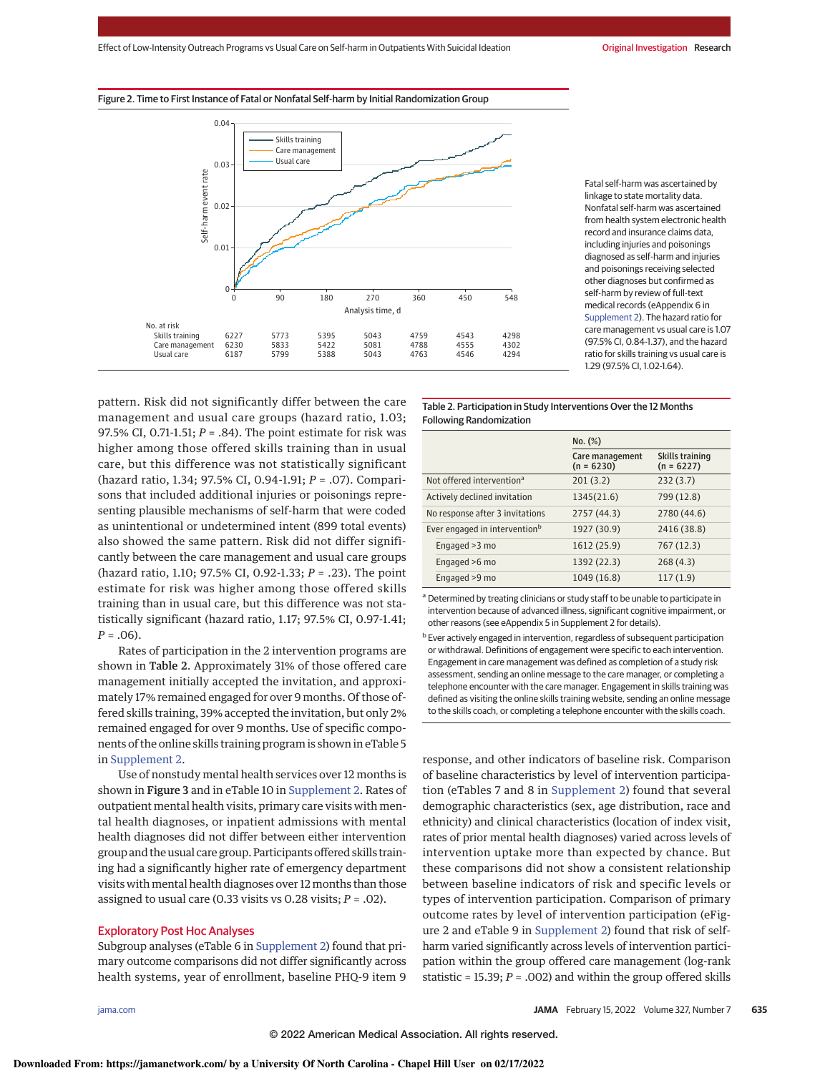Effect of Low-Intensity Outreach Programs vs Usual Care on Self-harm in Outpatients With Suicidal Ideation **Carry 10 and Suicidal Investigation Research** 





Fatal self-harm was ascertained by linkage to state mortality data. Nonfatal self-harm was ascertained from health system electronic health record and insurance claims data, including injuries and poisonings diagnosed as self-harm and injuries and poisonings receiving selected other diagnoses but confirmed as self-harm by review of full-text medical records (eAppendix 6 in Supplement 2). The hazard ratio for care management vs usual care is 1.07 (97.5% CI, 0.84-1.37), and the hazard ratio for skills training vs usual care is 1.29 (97.5% CI, 1.02-1.64).

pattern. Risk did not significantly differ between the care management and usual care groups (hazard ratio, 1.03; 97.5% CI, 0.71-1.51;  $P = .84$ ). The point estimate for risk was higher among those offered skills training than in usual care, but this difference was not statistically significant (hazard ratio, 1.34; 97.5% CI, 0.94-1.91; P = .07). Comparisons that included additional injuries or poisonings representing plausible mechanisms of self-harm that were coded as unintentional or undetermined intent (899 total events) also showed the same pattern. Risk did not differ significantly between the care management and usual care groups (hazard ratio, 1.10; 97.5% CI, 0.92-1.33; P = .23). The point estimate for risk was higher among those offered skills training than in usual care, but this difference was not statistically significant (hazard ratio, 1.17; 97.5% CI, 0.97-1.41;  $P = .06$ ).

Rates of participation in the 2 intervention programs are shown in Table 2. Approximately 31% of those offered care management initially accepted the invitation, and approximately 17% remained engaged for over 9 months. Of those offered skills training, 39% accepted the invitation, but only 2% remained engaged for over 9 months. Use of specific components of the online skills training program is shown in eTable 5 in Supplement 2.

Use of nonstudy mental health services over 12 months is shown in Figure 3 and in eTable 10 in Supplement 2. Rates of outpatient mental health visits, primary care visits with mental health diagnoses, or inpatient admissions with mental health diagnoses did not differ between either intervention group and the usual care group. Participants offered skills training had a significantly higher rate of emergency department visits with mental health diagnoses over 12 months than those assigned to usual care (0.33 visits vs 0.28 visits;  $P = .02$ ).

## Exploratory Post Hoc Analyses

Subgroup analyses (eTable 6 in Supplement 2) found that primary outcome comparisons did not differ significantly across health systems, year of enrollment, baseline PHQ-9 item 9

Table 2. Participation in Study Interventions Over the 12 Months Following Randomization

|                                           | No. (%)                         |                                        |  |
|-------------------------------------------|---------------------------------|----------------------------------------|--|
|                                           | Care management<br>$(n = 6230)$ | <b>Skills training</b><br>$(n = 6227)$ |  |
| Not offered intervention <sup>a</sup>     | 201(3.2)                        | 232(3.7)                               |  |
| Actively declined invitation              | 1345(21.6)                      | 799 (12.8)                             |  |
| No response after 3 invitations           | 2757 (44.3)                     | 2780 (44.6)                            |  |
| Ever engaged in intervention <sup>b</sup> | 1927 (30.9)                     | 2416 (38.8)                            |  |
| Engaged > 3 mo                            | 1612 (25.9)                     | 767 (12.3)                             |  |
| Engaged >6 mo                             | 1392 (22.3)                     | 268(4.3)                               |  |
| Engaged >9 mo                             | 1049 (16.8)                     | 117(1.9)                               |  |

<sup>a</sup> Determined by treating clinicians or study staff to be unable to participate in intervention because of advanced illness, significant cognitive impairment, or other reasons (see eAppendix 5 in Supplement 2 for details).

response, and other indicators of baseline risk. Comparison of baseline characteristics by level of intervention participation (eTables 7 and 8 in Supplement 2) found that several demographic characteristics (sex, age distribution, race and ethnicity) and clinical characteristics (location of index visit, rates of prior mental health diagnoses) varied across levels of intervention uptake more than expected by chance. But these comparisons did not show a consistent relationship between baseline indicators of risk and specific levels or types of intervention participation. Comparison of primary outcome rates by level of intervention participation (eFigure 2 and eTable 9 in Supplement 2) found that risk of selfharm varied significantly across levels of intervention participation within the group offered care management (log-rank statistic = 15.39;  $P = .002$ ) and within the group offered skills

**b** Ever actively engaged in intervention, regardless of subsequent participation or withdrawal. Definitions of engagement were specific to each intervention. Engagement in care management was defined as completion of a study risk assessment, sending an online message to the care manager, or completing a telephone encounter with the care manager. Engagement in skills training was defined as visiting the online skills training website, sending an online message to the skills coach, or completing a telephone encounter with the skills coach.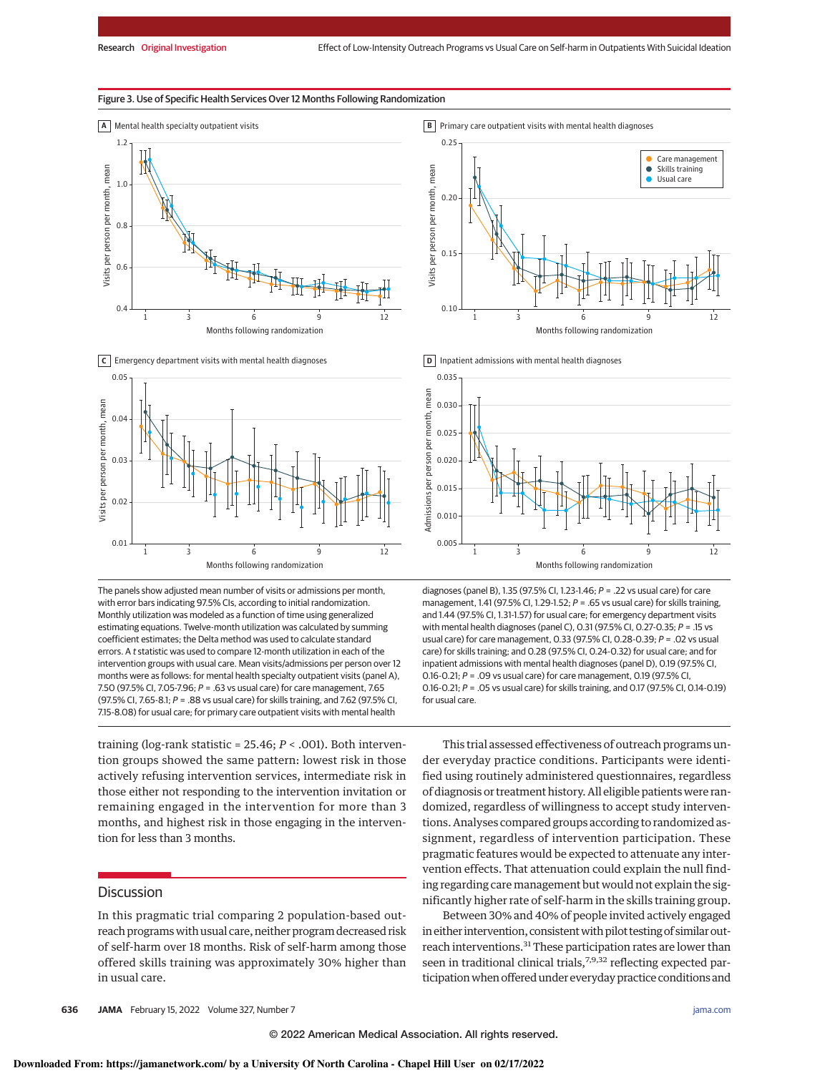**B** Primary care outpatient visits with mental health diagnoses

## Figure 3. Use of Specific Health Services Over 12 Months Following Randomization



**C** Emergency department visits with mental health diagnoses



The panels show adjusted mean number of visits or admissions per month, with error bars indicating 97.5% CIs, according to initial randomization. Monthly utilization was modeled as a function of time using generalized estimating equations. Twelve-month utilization was calculated by summing coefficient estimates; the Delta method was used to calculate standard errors. A t statistic was used to compare 12-month utilization in each of the intervention groups with usual care. Mean visits/admissions per person over 12 months were as follows: for mental health specialty outpatient visits (panel A), 7.50 (97.5% CI, 7.05-7.96; P = .63 vs usual care) for care management, 7.65 (97.5% CI, 7.65-8.1; P = .88 vs usual care) for skills training, and 7.62 (97.5% CI, 7.15-8.08) for usual care; for primary care outpatient visits with mental health

training (log-rank statistic =  $25.46; P < .001$ ). Both intervention groups showed the same pattern: lowest risk in those actively refusing intervention services, intermediate risk in those either not responding to the intervention invitation or remaining engaged in the intervention for more than 3 months, and highest risk in those engaging in the intervention for less than 3 months.

# **Discussion**

In this pragmatic trial comparing 2 population-based outreach programswith usual care, neither program decreased risk of self-harm over 18 months. Risk of self-harm among those offered skills training was approximately 30% higher than in usual care.



**D** Inpatient admissions with mental health diagnoses



diagnoses (panel B), 1.35 (97.5% CI, 1.23-1.46; P = .22 vs usual care) for care management, 1.41 (97.5% CI, 1.29-1.52;  $P = .65$  vs usual care) for skills training, and 1.44 (97.5% CI, 1.31-1.57) for usual care; for emergency department visits with mental health diagnoses (panel C), 0.31 (97.5% CI, 0.27-0.35; P = .15 vs usual care) for care management, 0.33 (97.5% CI, 0.28-0.39; P = .02 vs usual care) for skills training; and 0.28 (97.5% CI, 0.24-0.32) for usual care; and for inpatient admissions with mental health diagnoses (panel D), 0.19 (97.5% CI, 0.16-0.21;  $P = 0.09$  vs usual care) for care management, 0.19 (97.5% CI, 0.16-0.21; P = .05 vs usual care) for skills training, and 0.17 (97.5% CI, 0.14-0.19) for usual care.

This trial assessed effectiveness of outreach programs under everyday practice conditions. Participants were identified using routinely administered questionnaires, regardless of diagnosis or treatment history. All eligible patients were randomized, regardless of willingness to accept study interventions. Analyses compared groups according to randomized assignment, regardless of intervention participation. These pragmatic features would be expected to attenuate any intervention effects. That attenuation could explain the null finding regarding care management but would not explain the significantly higher rate of self-harm in the skills training group.

Between 30% and 40% of people invited actively engaged in either intervention, consistent with pilot testing of similar outreach interventions.<sup>31</sup> These participation rates are lower than seen in traditional clinical trials,<sup>7,9,32</sup> reflecting expected participation when offered under everyday practice conditions and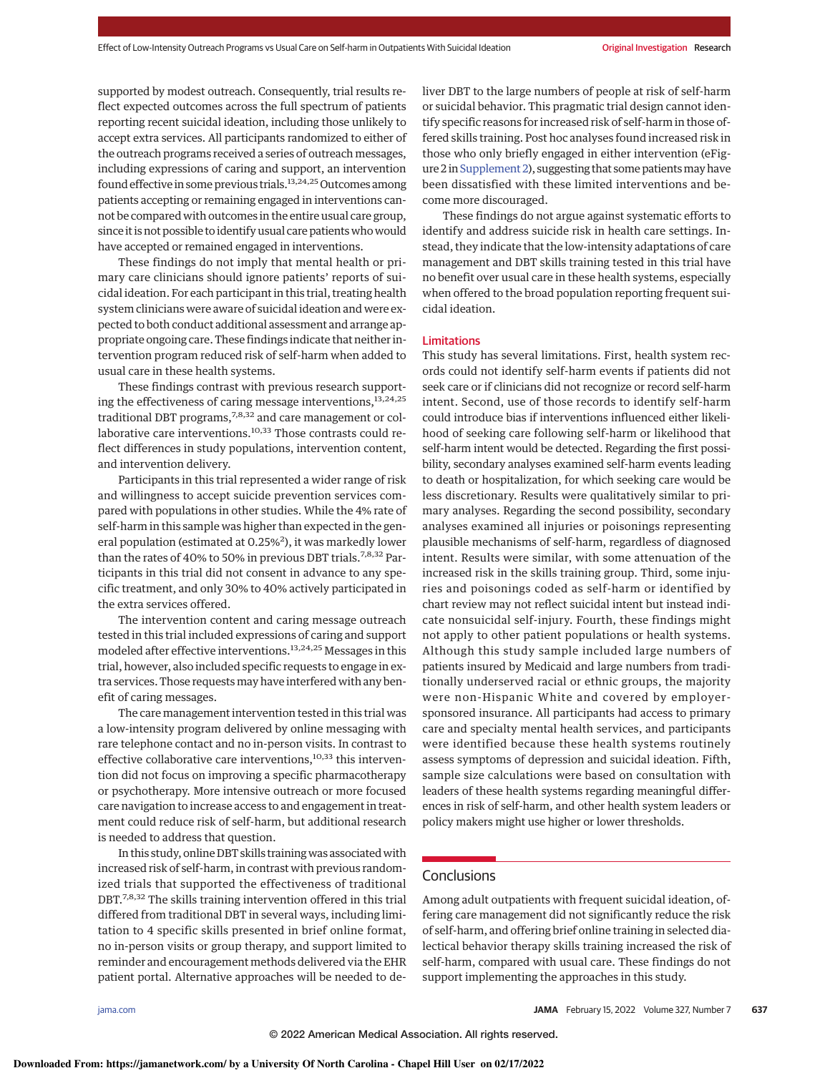supported by modest outreach. Consequently, trial results reflect expected outcomes across the full spectrum of patients reporting recent suicidal ideation, including those unlikely to accept extra services. All participants randomized to either of the outreach programs received a series of outreach messages, including expressions of caring and support, an intervention found effective in some previous trials. $13,24,25$  Outcomes among patients accepting or remaining engaged in interventions cannot be compared with outcomes in the entire usual care group, since it is not possible to identify usual care patients who would have accepted or remained engaged in interventions.

These findings do not imply that mental health or primary care clinicians should ignore patients' reports of suicidal ideation. For each participant in this trial, treating health system clinicians were aware of suicidal ideation and were expected to both conduct additional assessment and arrange appropriate ongoing care. These findings indicate that neither intervention program reduced risk of self-harm when added to usual care in these health systems.

These findings contrast with previous research supporting the effectiveness of caring message interventions,  $^{\rm 13,24,25}$ traditional DBT programs,<sup>7,8,32</sup> and care management or collaborative care interventions.<sup>10,33</sup> Those contrasts could reflect differences in study populations, intervention content, and intervention delivery.

Participants in this trial represented a wider range of risk and willingness to accept suicide prevention services compared with populations in other studies. While the 4% rate of self-harm in this sample was higher than expected in the general population (estimated at 0.25%<sup>2</sup>), it was markedly lower than the rates of 40% to 50% in previous DBT trials.<sup>7,8,32</sup> Participants in this trial did not consent in advance to any specific treatment, and only 30% to 40% actively participated in the extra services offered.

The intervention content and caring message outreach tested in this trial included expressions of caring and support modeled after effective interventions.13,24,25 Messages in this trial, however, also included specific requests to engage in extra services. Those requestsmay have interfered with any benefit of caring messages.

The care management intervention tested in this trial was a low-intensity program delivered by online messaging with rare telephone contact and no in-person visits. In contrast to effective collaborative care interventions,<sup>10,33</sup> this intervention did not focus on improving a specific pharmacotherapy or psychotherapy. More intensive outreach or more focused care navigation to increase access to and engagement in treatment could reduce risk of self-harm, but additional research is needed to address that question.

In this study, online DBT skills training was associated with increased risk of self-harm, in contrast with previous randomized trials that supported the effectiveness of traditional DBT.<sup>7,8,32</sup> The skills training intervention offered in this trial differed from traditional DBT in several ways, including limitation to 4 specific skills presented in brief online format, no in-person visits or group therapy, and support limited to reminder and encouragement methods delivered via the EHR patient portal. Alternative approaches will be needed to deliver DBT to the large numbers of people at risk of self-harm or suicidal behavior. This pragmatic trial design cannot identify specific reasons for increased risk of self-harm in those offered skills training. Post hoc analyses found increased risk in those who only briefly engaged in either intervention (eFigure 2 in Supplement 2), suggesting that some patients may have been dissatisfied with these limited interventions and become more discouraged.

These findings do not argue against systematic efforts to identify and address suicide risk in health care settings. Instead, they indicate that the low-intensity adaptations of care management and DBT skills training tested in this trial have no benefit over usual care in these health systems, especially when offered to the broad population reporting frequent suicidal ideation.

## Limitations

This study has several limitations. First, health system records could not identify self-harm events if patients did not seek care or if clinicians did not recognize or record self-harm intent. Second, use of those records to identify self-harm could introduce bias if interventions influenced either likelihood of seeking care following self-harm or likelihood that self-harm intent would be detected. Regarding the first possibility, secondary analyses examined self-harm events leading to death or hospitalization, for which seeking care would be less discretionary. Results were qualitatively similar to primary analyses. Regarding the second possibility, secondary analyses examined all injuries or poisonings representing plausible mechanisms of self-harm, regardless of diagnosed intent. Results were similar, with some attenuation of the increased risk in the skills training group. Third, some injuries and poisonings coded as self-harm or identified by chart review may not reflect suicidal intent but instead indicate nonsuicidal self-injury. Fourth, these findings might not apply to other patient populations or health systems. Although this study sample included large numbers of patients insured by Medicaid and large numbers from traditionally underserved racial or ethnic groups, the majority were non-Hispanic White and covered by employersponsored insurance. All participants had access to primary care and specialty mental health services, and participants were identified because these health systems routinely assess symptoms of depression and suicidal ideation. Fifth, sample size calculations were based on consultation with leaders of these health systems regarding meaningful differences in risk of self-harm, and other health system leaders or policy makers might use higher or lower thresholds.

# Conclusions

Among adult outpatients with frequent suicidal ideation, offering care management did not significantly reduce the risk of self-harm, and offering brief online training in selected dialectical behavior therapy skills training increased the risk of self-harm, compared with usual care. These findings do not support implementing the approaches in this study.